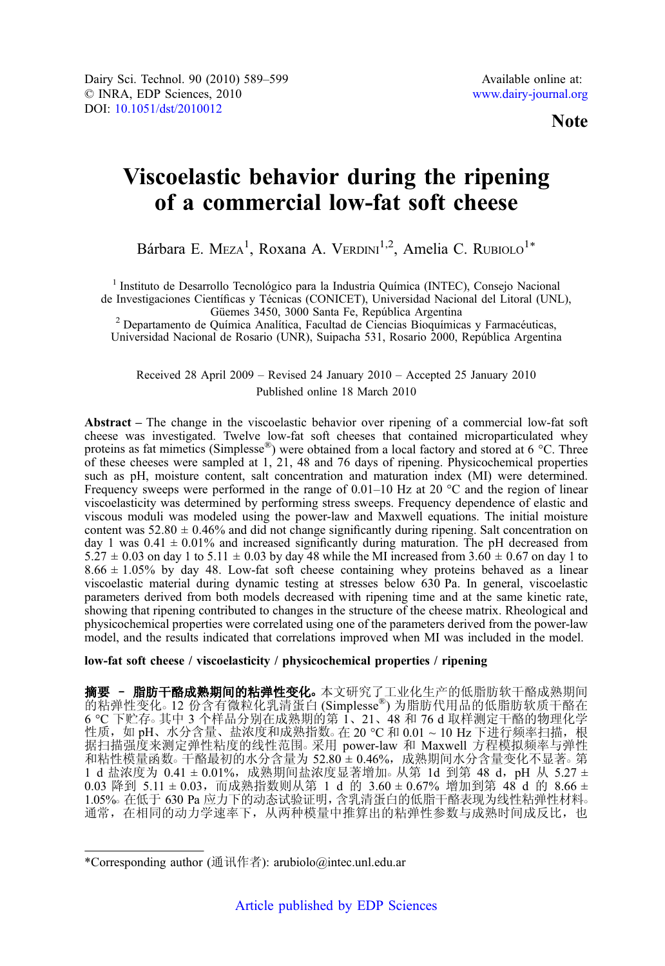Note

# Viscoelastic behavior during the ripening of a commercial low-fat soft cheese

Bárbara E. Meza<sup>1</sup>, Roxana A. Verdini<sup>1,2</sup>, Amelia C. Rubiolo<sup>1\*</sup>

<sup>1</sup> Instituto de Desarrollo Tecnológico para la Industria Química (INTEC), Consejo Nacional

de Investigaciones Científicas y Técnicas (CONICET), Universidad Nacional del Litoral (UNL), Güemes 3450, 3000 Santa Fe, República Argentina

<sup>2</sup> Departamento de Química Analítica, Facultad de Ciencias Bioquímicas y Farmacéuticas, Universidad Nacional de Rosario (UNR), Suipacha 531, Rosario 2000, República Argentina

Received 28 April 2009 – Revised 24 January 2010 – Accepted 25 January 2010 Published online 18 March 2010

Abstract – The change in the viscoelastic behavior over ripening of a commercial low-fat soft cheese was investigated. Twelve low-fat soft cheeses that contained microparticulated whey proteins as fat mimetics (Simplesse®) were obtained from a local factory and stored at 6 °C. Three of these cheeses were sampled at 1, 21, 48 and 76 days of ripening. Physicochemical properties such as pH, moisture content, salt concentration and maturation index (MI) were determined. Frequency sweeps were performed in the range of  $0.01-10$  Hz at 20  $^{\circ}$ C and the region of linear viscoelasticity was determined by performing stress sweeps. Frequency dependence of elastic and viscous moduli was modeled using the power-law and Maxwell equations. The initial moisture content was  $52.80 \pm 0.46\%$  and did not change significantly during ripening. Salt concentration on day 1 was  $0.41 \pm 0.01\%$  and increased significantly during maturation. The pH decreased from  $5.27 \pm 0.03$  on day 1 to  $5.11 \pm 0.03$  by day 48 while the MI increased from  $3.60 \pm 0.67$  on day 1 to  $8.66 \pm 1.05\%$  by day 48. Low-fat soft cheese containing whey proteins behaved as a linear viscoelastic material during dynamic testing at stresses below 630 Pa. In general, viscoelastic parameters derived from both models decreased with ripening time and at the same kinetic rate, showing that ripening contributed to changes in the structure of the cheese matrix. Rheological and physicochemical properties were correlated using one of the parameters derived from the power-law model, and the results indicated that correlations improved when MI was included in the model.

# low-fat soft cheese / viscoelasticity / physicochemical properties / ripening

**摘要 - 脂肪干酪成熟期间的粘弹性变化。**本文研究了工业化生产的低脂肪软干酪成熟期间 的粘弹性变化。 12 份含有微粒化乳清蛋白 (Simplesse®) 为脂肪代用品的低脂肪软质干酪在 6 °C 下贮存○ 其中 3 个样品分别在成熟期的第 1、21、48 和 76 d 取样测定干酪的物理化学 性质,如 pH、水分含量、盐浓度和成熟指数。在 20 ℃ 和 0.01 ~ 10 Hz 下进行频率扫描,根 据扫描强度来测定弹性粘度的线性范围。采用 power-law 和 Maxwell 方程模拟频率与弹性 和粘性模量函数。干酪最初的水分含量为 52.80 ± 0.46%, 成熟期间水分含量变化不显著。第 1 d 盐浓度为 0.41 ± 0.01%,成熟期间盐浓度显著增加。从第 1d 到第 48 d,pH 从 5.27 ± 0.03 降到 5.11 ± 0.03, 而成熟指数则从第 1 d 的 3.60 ± 0.67% 增加到第 48 d 的 8.66 ± 1.05%。在低于 630 Pa 应力下的动态试验证明, 含乳清蛋白的低脂干酪表现为线性粘弹性材料。 通常,在相同的动力学速率下,从两种模量中推算出的粘弹性参数与成熟时间成反比,也

<sup>\*</sup>Corresponding author (通讯作者): arubiolo@intec.unl.edu.ar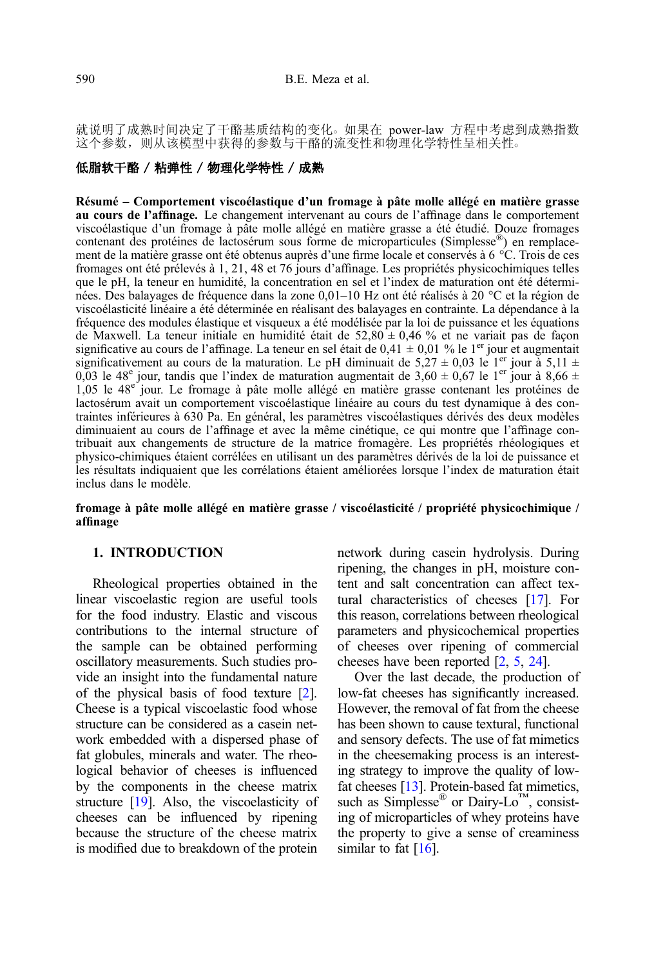就说明了成熟时间决定了干酪基质结构的变化。如果在 power-law 方程中考虑到成熟指数 这个参数, 则从该模型中获得的参数与干酪的流变性和物理化学特性呈相关性。

# 低脂软干酪 / 粘弹性 / 物理化学特性 / 成熟

Résumé – Comportement viscoélastique d'un fromage à pâte molle allégé en matière grasse au cours de l'affinage. Le changement intervenant au cours de l'affinage dans le comportement viscoélastique d'un fromage à pâte molle allégé en matière grasse a été étudié. Douze fromages contenant des protéines de lactosérum sous forme de microparticules (Simplesse®) en remplacement de la matière grasse ont été obtenus auprès d'une firme locale et conservés à 6 °C. Trois de ces fromages ont été prélevés à 1, 21, 48 et 76 jours d'affinage. Les propriétés physicochimiques telles que le pH, la teneur en humidité, la concentration en sel et l'index de maturation ont été déterminées. Des balayages de fréquence dans la zone 0,01–10 Hz ont été réalisés à 20 °C et la région de viscoélasticité linéaire a été déterminée en réalisant des balayages en contrainte. La dépendance à la fréquence des modules élastique et visqueux a été modélisée par la loi de puissance et les équations de Maxwell. La teneur initiale en humidité était de  $52,80 \pm 0,46$  % et ne variait pas de façon significative au cours de l'affinage. La teneur en sel était de 0,41  $\pm$  0,01 % le 1<sup>er</sup> jour et augmentait significativement au cours de la maturation. Le pH diminuait de 5,27  $\pm$  0,03 le 1<sup>er</sup> jour à 5,11  $\pm$ 0,03 le 48<sup>e</sup> jour, tandis que l'index de maturation augmentait de 3,60 ± 0,67 le 1<sup>er</sup> jour à 8,66 ± 1,05 le 48e jour. Le fromage à pâte molle allégé en matière grasse contenant les protéines de lactosérum avait un comportement viscoélastique linéaire au cours du test dynamique à des contraintes inférieures à 630 Pa. En général, les paramètres viscoélastiques dérivés des deux modèles diminuaient au cours de l'affinage et avec la même cinétique, ce qui montre que l'affinage contribuait aux changements de structure de la matrice fromagère. Les propriétés rhéologiques et physico-chimiques étaient corrélées en utilisant un des paramètres dérivés de la loi de puissance et les résultats indiquaient que les corrélations étaient améliorées lorsque l'index de maturation était inclus dans le modèle.

fromage à pâte molle allégé en matière grasse / viscoélasticité / propriété physicochimique / affinage

# 1. INTRODUCTION

Rheological properties obtained in the linear viscoelastic region are useful tools for the food industry. Elastic and viscous contributions to the internal structure of the sample can be obtained performing oscillatory measurements. Such studies provide an insight into the fundamental nature of the physical basis of food texture [\[2\]](#page-9-0). Cheese is a typical viscoelastic food whose structure can be considered as a casein network embedded with a dispersed phase of fat globules, minerals and water. The rheological behavior of cheeses is influenced by the components in the cheese matrix structure [\[19](#page-10-0)]. Also, the viscoelasticity of cheeses can be influenced by ripening because the structure of the cheese matrix is modified due to breakdown of the protein network during casein hydrolysis. During ripening, the changes in pH, moisture content and salt concentration can affect textural characteristics of cheeses [\[17\]](#page-10-0). For this reason, correlations between rheological parameters and physicochemical properties of cheeses over ripening of commercial cheeses have been reported [\[2,](#page-9-0) [5](#page-10-0), [24\]](#page-10-0).

Over the last decade, the production of low-fat cheeses has significantly increased. However, the removal of fat from the cheese has been shown to cause textural, functional and sensory defects. The use of fat mimetics in the cheesemaking process is an interesting strategy to improve the quality of lowfat cheeses [\[13\]](#page-10-0). Protein-based fat mimetics, such as Simplesse<sup>®</sup> or Dairy-Lo™, consisting of microparticles of whey proteins have the property to give a sense of creaminess similar to fat  $[16]$ .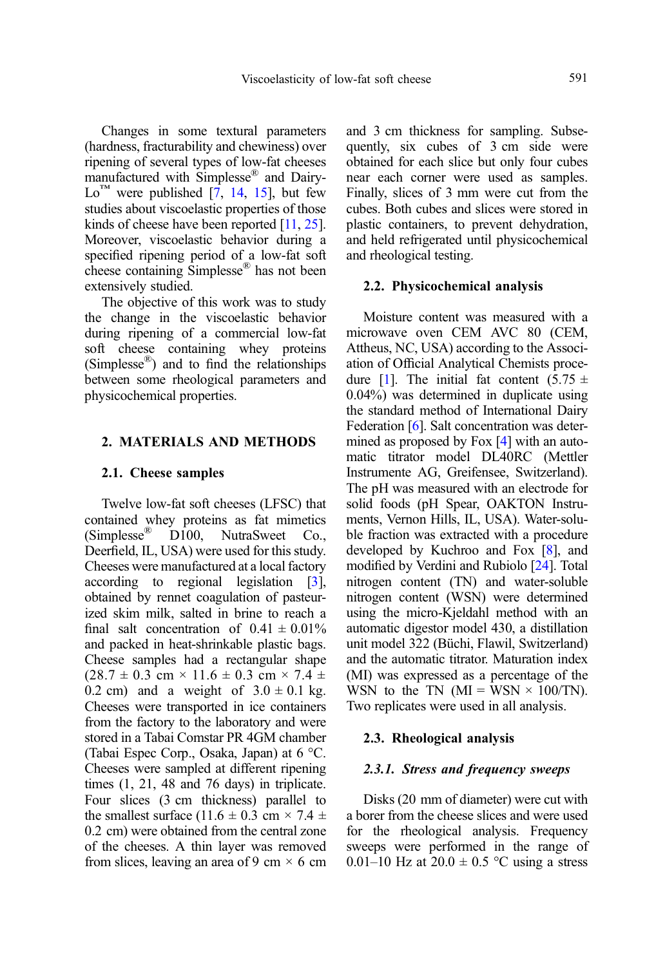Changes in some textural parameters (hardness, fracturability and chewiness) over ripening of several types of low-fat cheeses manufactured with Simplesse® and Dairy- $Lo<sup>TM</sup>$  were published [\[7,](#page-10-0) [14,](#page-10-0) [15](#page-10-0)], but few studies about viscoelastic properties of those kinds of cheese have been reported [\[11](#page-10-0), [25](#page-10-0)]. Moreover, viscoelastic behavior during a specified ripening period of a low-fat soft cheese containing Simplesse® has not been extensively studied.

The objective of this work was to study the change in the viscoelastic behavior during ripening of a commercial low-fat soft cheese containing whey proteins (Simplesse<sup>®</sup>) and to find the relationships between some rheological parameters and physicochemical properties.

# 2. MATERIALS AND METHODS

#### 2.1. Cheese samples

Twelve low-fat soft cheeses (LFSC) that contained whey proteins as fat mimetics (Simplesse<sup>®</sup> D100, NutraSweet Co., (Simplesse® D100, NutraSweet Co., Deerfield, IL, USA) were used for this study. Cheeses were manufactured at a local factory according to regional legislation [\[3](#page-9-0)], obtained by rennet coagulation of pasteurized skim milk, salted in brine to reach a final salt concentration of  $0.41 \pm 0.01\%$ and packed in heat-shrinkable plastic bags. Cheese samples had a rectangular shape  $(28.7 \pm 0.3 \text{ cm} \times 11.6 \pm 0.3 \text{ cm} \times 7.4 \pm 1.6 \pm 0.3 \text{ cm} \times 7.4 \pm 1.6 \pm 1.6 \pm 1.6 \pm 1.6 \pm 1.6 \pm 1.6 \pm 1.6 \pm 1.6 \pm 1.6 \pm 1.6 \pm 1.6 \pm 1.6 \pm 1.6 \pm 1.6 \pm 1.6 \pm 1.6 \pm 1.6 \pm 1.6 \pm 1.6 \pm 1.6 \pm 1.6 \pm 1.6 \pm 1.6 \pm 1.6 \pm 1.6 \pm 1.6 \$ 0.2 cm) and a weight of  $3.0 \pm 0.1$  kg. Cheeses were transported in ice containers from the factory to the laboratory and were stored in a Tabai Comstar PR 4GM chamber (Tabai Espec Corp., Osaka, Japan) at 6 °C. Cheeses were sampled at different ripening times (1, 21, 48 and 76 days) in triplicate. Four slices (3 cm thickness) parallel to the smallest surface (11.6  $\pm$  0.3 cm  $\times$  7.4  $\pm$ 0.2 cm) were obtained from the central zone of the cheeses. A thin layer was removed from slices, leaving an area of 9 cm  $\times$  6 cm and 3 cm thickness for sampling. Subsequently, six cubes of 3 cm side were obtained for each slice but only four cubes near each corner were used as samples. Finally, slices of 3 mm were cut from the cubes. Both cubes and slices were stored in plastic containers, to prevent dehydration, and held refrigerated until physicochemical and rheological testing.

#### 2.2. Physicochemical analysis

Moisture content was measured with a microwave oven CEM AVC 80 (CEM, Attheus, NC, USA) according to the Association of Official Analytical Chemists proce-dure [\[1\]](#page-9-0). The initial fat content  $(5.75 \pm$ 0.04%) was determined in duplicate using the standard method of International Dairy Federation [\[6\]](#page-10-0). Salt concentration was deter-mined as proposed by Fox [\[4\]](#page-9-0) with an automatic titrator model DL40RC (Mettler Instrumente AG, Greifensee, Switzerland). The pH was measured with an electrode for solid foods (pH Spear, OAKTON Instruments, Vernon Hills, IL, USA). Water-soluble fraction was extracted with a procedure developed by Kuchroo and Fox [\[8](#page-10-0)], and modified by Verdini and Rubiolo [[24](#page-10-0)]. Total nitrogen content (TN) and water-soluble nitrogen content (WSN) were determined using the micro-Kjeldahl method with an automatic digestor model 430, a distillation unit model 322 (Büchi, Flawil, Switzerland) and the automatic titrator. Maturation index (MI) was expressed as a percentage of the WSN to the TN ( $MI = WSN \times 100/TN$ ). Two replicates were used in all analysis.

# 2.3. Rheological analysis

#### 2.3.1. Stress and frequency sweeps

Disks (20 mm of diameter) were cut with a borer from the cheese slices and were used for the rheological analysis. Frequency sweeps were performed in the range of 0.01–10 Hz at  $20.0 \pm 0.5$  °C using a stress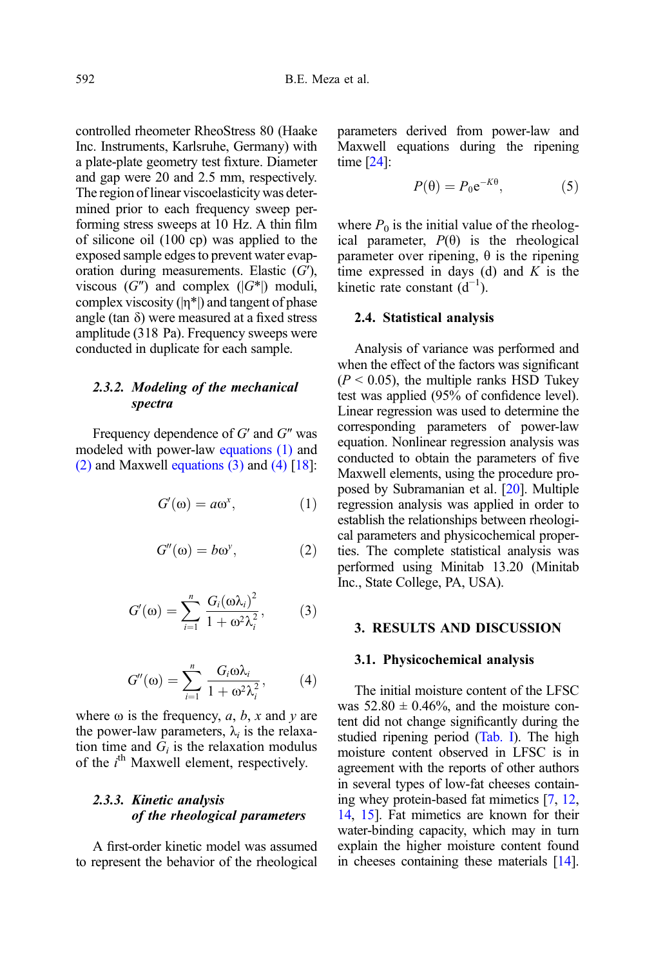controlled rheometer RheoStress 80 (Haake Inc. Instruments, Karlsruhe, Germany) with a plate-plate geometry test fixture. Diameter and gap were 20 and 2.5 mm, respectively. The region of linear viscoelasticity was determined prior to each frequency sweep performing stress sweeps at 10 Hz. A thin film of silicone oil (100 cp) was applied to the exposed sample edges to prevent water evaporation during measurements. Elastic  $(G')$ , viscous  $(G'')$  and complex  $(|G^*|)$  moduli, complex viscosity  $(|\eta^*|)$  and tangent of phase angle (tan  $\delta$ ) were measured at a fixed stress amplitude (318 Pa). Frequency sweeps were conducted in duplicate for each sample.

# 2.3.2. Modeling of the mechanical spectra

Frequency dependence of G′ and G″ was modeled with power-law equations (1) and (2) and Maxwell equations (3) and (4)  $\lceil 18 \rceil$ :

$$
G'(\omega) = a\omega^x, \qquad (1)
$$

$$
G''(\omega) = b\omega^{\nu}, \qquad (2)
$$

$$
G'(\omega) = \sum_{i=1}^{n} \frac{G_i(\omega \lambda_i)^2}{1 + \omega^2 \lambda_i^2},
$$
 (3)

$$
G''(\omega) = \sum_{i=1}^{n} \frac{G_i \omega \lambda_i}{1 + \omega^2 \lambda_i^2}, \qquad (4)
$$

where  $\omega$  is the frequency, a, b, x and y are the power-law parameters,  $\lambda_i$  is the relaxation time and  $\dot{G}_i$  is the relaxation modulus of the  $i<sup>th</sup>$  Maxwell element, respectively.

# 2.3.3. Kinetic analysis of the rheological parameters

A first-order kinetic model was assumed to represent the behavior of the rheological parameters derived from power-law and Maxwell equations during the ripening time [\[24\]](#page-10-0):

$$
P(\theta) = P_0 e^{-K\theta}, \tag{5}
$$

where  $P_0$  is the initial value of the rheological parameter,  $P(\theta)$  is the rheological parameter over ripening, θ is the ripening time expressed in days (d) and  $K$  is the kinetic rate constant  $(d^{-1})$ .

#### 2.4. Statistical analysis

Analysis of variance was performed and when the effect of the factors was significant  $(P < 0.05)$ , the multiple ranks HSD Tukey test was applied (95% of confidence level). Linear regression was used to determine the corresponding parameters of power-law equation. Nonlinear regression analysis was conducted to obtain the parameters of five Maxwell elements, using the procedure proposed by Subramanian et al. [\[20\]](#page-10-0). Multiple regression analysis was applied in order to establish the relationships between rheological parameters and physicochemical properties. The complete statistical analysis was performed using Minitab 13.20 (Minitab Inc., State College, PA, USA).

# 3. RESULTS AND DISCUSSION

#### 3.1. Physicochemical analysis

The initial moisture content of the LFSC was  $52.80 \pm 0.46\%$ , and the moisture content did not change significantly during the studied ripening period [\(Tab. I](#page-4-0)). The high moisture content observed in LFSC is in agreement with the reports of other authors in several types of low-fat cheeses containing whey protein-based fat mimetics [\[7](#page-10-0), [12](#page-10-0), [14](#page-10-0), [15\]](#page-10-0). Fat mimetics are known for their water-binding capacity, which may in turn explain the higher moisture content found in cheeses containing these materials [\[14](#page-10-0)].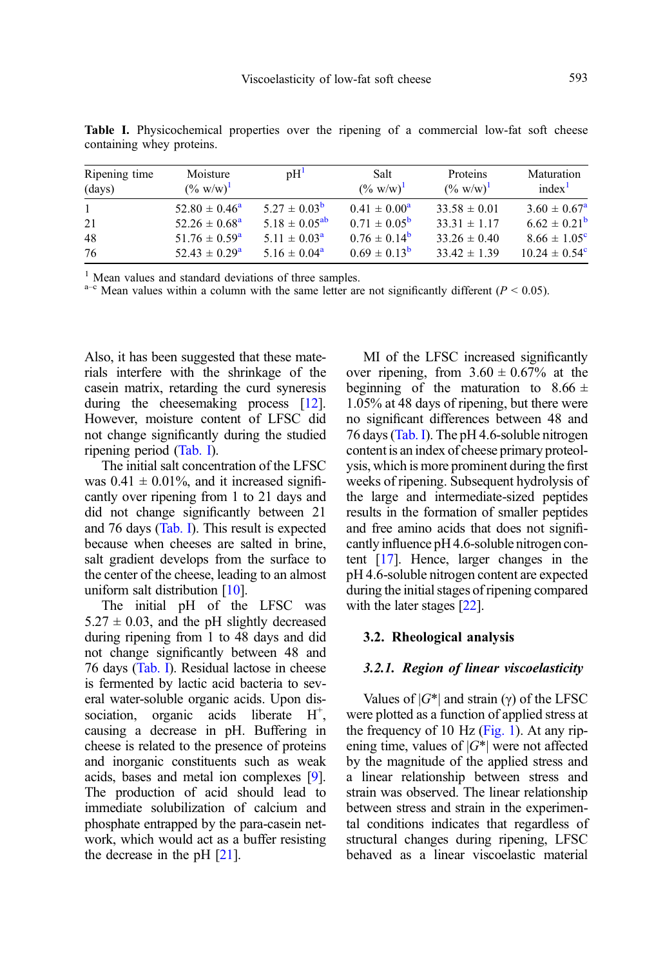| Ripening time<br>(days) | Moisture<br>$(\% w/w)^{1}$ | pH <sup>1</sup>         | Salt<br>$(\% w/w)^{1}$  | Proteins<br>$(\% w/w)^{1}$ | Maturation<br>index <sup>1</sup> |
|-------------------------|----------------------------|-------------------------|-------------------------|----------------------------|----------------------------------|
| $\mathbf{1}$            | $52.80 \pm 0.46^{\circ}$   | $5.27 \pm 0.03^{\rm b}$ | $0.41 \pm 0.00^a$       | $33.58 \pm 0.01$           | $3.60 \pm 0.67^{\rm a}$          |
| 21                      | $52.26 \pm 0.68^{\circ}$   | $5.18 \pm 0.05^{ab}$    | $0.71 \pm 0.05^{\rm b}$ | $33.31 \pm 1.17$           | $6.62 \pm 0.21^{\rm b}$          |
| 48                      | $51.76 \pm 0.59^{\rm a}$   | $5.11 \pm 0.03^{\circ}$ | $0.76 \pm 0.14^{\rm b}$ | $33.26 \pm 0.40$           | $8.66 \pm 1.05^{\circ}$          |
| 76                      | $52.43 \pm 0.29^{\circ}$   | $5.16 \pm 0.04^{\rm a}$ | $0.69 \pm 0.13^{\rm b}$ | $33.42 \pm 1.39$           | $10.24 \pm 0.54^{\circ}$         |

<span id="page-4-0"></span>Table I. Physicochemical properties over the ripening of a commercial low-fat soft cheese containing whey proteins.

<sup>1</sup> Mean values and standard deviations of three samples.<br><sup>a–c</sup> Mean values within a column with the same letter are not significantly different ( $P < 0.05$ ).

Also, it has been suggested that these materials interfere with the shrinkage of the casein matrix, retarding the curd syneresis during the cheesemaking process [\[12](#page-10-0)]. However, moisture content of LFSC did not change significantly during the studied ripening period (Tab. I).

The initial salt concentration of the LFSC was  $0.41 \pm 0.01\%$ , and it increased significantly over ripening from 1 to 21 days and did not change significantly between 21 and 76 days (Tab. I). This result is expected because when cheeses are salted in brine, salt gradient develops from the surface to the center of the cheese, leading to an almost uniform salt distribution [\[10](#page-10-0)].

The initial pH of the LFSC was  $5.27 \pm 0.03$ , and the pH slightly decreased during ripening from 1 to 48 days and did not change significantly between 48 and 76 days (Tab. I). Residual lactose in cheese is fermented by lactic acid bacteria to several water-soluble organic acids. Upon dissociation, organic acids liberate  $H^+$ , causing a decrease in pH. Buffering in cheese is related to the presence of proteins and inorganic constituents such as weak acids, bases and metal ion complexes [\[9](#page-10-0)]. The production of acid should lead to immediate solubilization of calcium and phosphate entrapped by the para-casein network, which would act as a buffer resisting the decrease in the pH [[21](#page-10-0)].

MI of the LFSC increased significantly over ripening, from  $3.60 \pm 0.67\%$  at the beginning of the maturation to  $8.66 \pm$ 1.05% at 48 days of ripening, but there were no significant differences between 48 and 76 days (Tab. I). The pH 4.6-soluble nitrogen content is an index of cheese primary proteolysis, which is more prominent during the first weeks of ripening. Subsequent hydrolysis of the large and intermediate-sized peptides results in the formation of smaller peptides and free amino acids that does not significantly influence pH 4.6-soluble nitrogen content [[17](#page-10-0)]. Hence, larger changes in the pH 4.6-soluble nitrogen content are expected during the initial stages of ripening compared with the later stages [[22\]](#page-10-0).

# 3.2. Rheological analysis

#### 3.2.1. Region of linear viscoelasticity

Values of  $|G^*|$  and strain (γ) of the LFSC were plotted as a function of applied stress at the frequency of 10 Hz [\(Fig. 1\)](#page-5-0). At any ripening time, values of  $|G^*|$  were not affected by the magnitude of the applied stress and a linear relationship between stress and strain was observed. The linear relationship between stress and strain in the experimental conditions indicates that regardless of structural changes during ripening, LFSC behaved as a linear viscoelastic material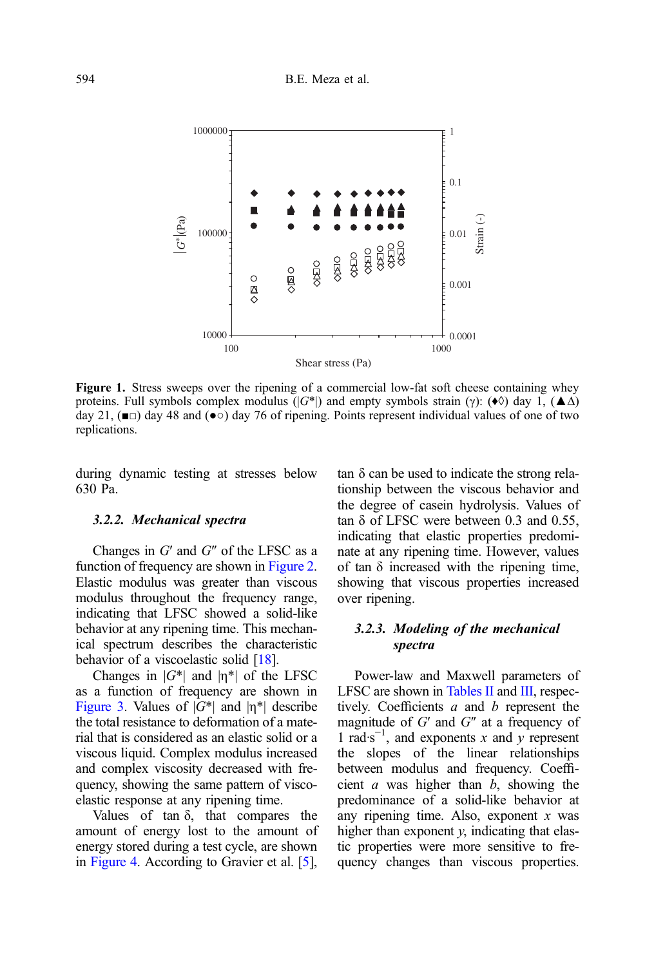<span id="page-5-0"></span>

Figure 1. Stress sweeps over the ripening of a commercial low-fat soft cheese containing whey proteins. Full symbols complex modulus ( $|G^*|$ ) and empty symbols strain (γ): ( $\bullet \Diamond$ ) day 1, ( $\blacktriangle \Delta$ ) day 21,  $(\blacksquare)$  day 48 and  $(\lozenge)$  day 76 of ripening. Points represent individual values of one of two replications.

during dynamic testing at stresses below 630 Pa.

#### 3.2.2. Mechanical spectra

Changes in  $G'$  and  $G''$  of the LFSC as a function of frequency are shown in [Figure 2.](#page-6-0) Elastic modulus was greater than viscous modulus throughout the frequency range, indicating that LFSC showed a solid-like behavior at any ripening time. This mechanical spectrum describes the characteristic behavior of a viscoelastic solid [\[18](#page-10-0)].

Changes in  $|G^*|$  and  $|\eta^*|$  of the LFSC as a function of frequency are shown in [Figure 3](#page-6-0). Values of  $|G^*|$  and  $|n^*|$  describe the total resistance to deformation of a material that is considered as an elastic solid or a viscous liquid. Complex modulus increased and complex viscosity decreased with frequency, showing the same pattern of viscoelastic response at any ripening time.

Values of tan  $\delta$ , that compares the amount of energy lost to the amount of energy stored during a test cycle, are shown in [Figure 4](#page-7-0). According to Gravier et al. [\[5\]](#page-10-0),

tan δ can be used to indicate the strong relationship between the viscous behavior and the degree of casein hydrolysis. Values of tan δ of LFSC were between 0.3 and 0.55, indicating that elastic properties predominate at any ripening time. However, values of tan  $\delta$  increased with the ripening time, showing that viscous properties increased over ripening.

# 3.2.3. Modeling of the mechanical spectra

Power-law and Maxwell parameters of LFSC are shown in [Tables II](#page-7-0) and [III](#page-8-0), respectively. Coefficients  $a$  and  $b$  represent the magnitude of  $G'$  and  $G''$  at a frequency of 1 rad⋅s<sup>-1</sup>, and exponents x and y represent the slopes of the linear relationships between modulus and frequency. Coefficient  $a$  was higher than  $b$ , showing the predominance of a solid-like behavior at any ripening time. Also, exponent  $x$  was higher than exponent  $y$ , indicating that elastic properties were more sensitive to frequency changes than viscous properties.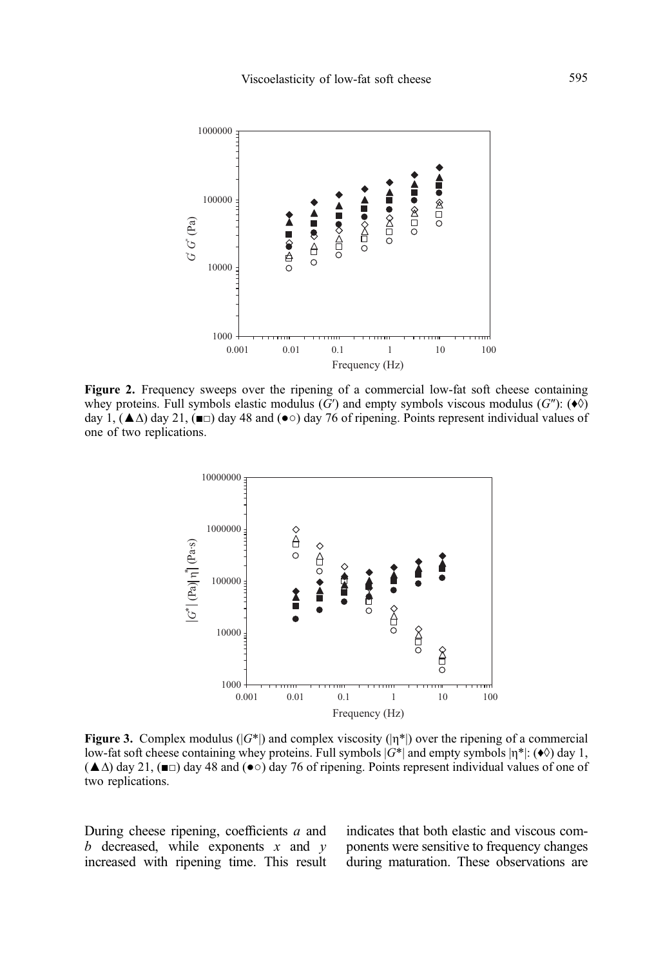<span id="page-6-0"></span>

Figure 2. Frequency sweeps over the ripening of a commercial low-fat soft cheese containing whey proteins. Full symbols elastic modulus (G') and empty symbols viscous modulus (G''):  $(\diamond \lozenge)$ day 1,  $(\triangle \Delta)$  day 21,  $(\square)$  day 48 and  $(\bullet \circ)$  day 76 of ripening. Points represent individual values of one of two replications.



**Figure 3.** Complex modulus ( $|G^*|$ ) and complex viscosity ( $|n^*|$ ) over the ripening of a commercial low-fat soft cheese containing whey proteins. Full symbols  $|G^*|$  and empty symbols  $|\eta^*|$ : ( $\bullet \Diamond$ ) day 1, (**A**Δ) day 21, ( $\blacksquare$  on day 48 and ( $\lozenge$ ) day 76 of ripening. Points represent individual values of one of two replications.

During cheese ripening, coefficients a and  $b$  decreased, while exponents  $x$  and  $y$ increased with ripening time. This result indicates that both elastic and viscous components were sensitive to frequency changes during maturation. These observations are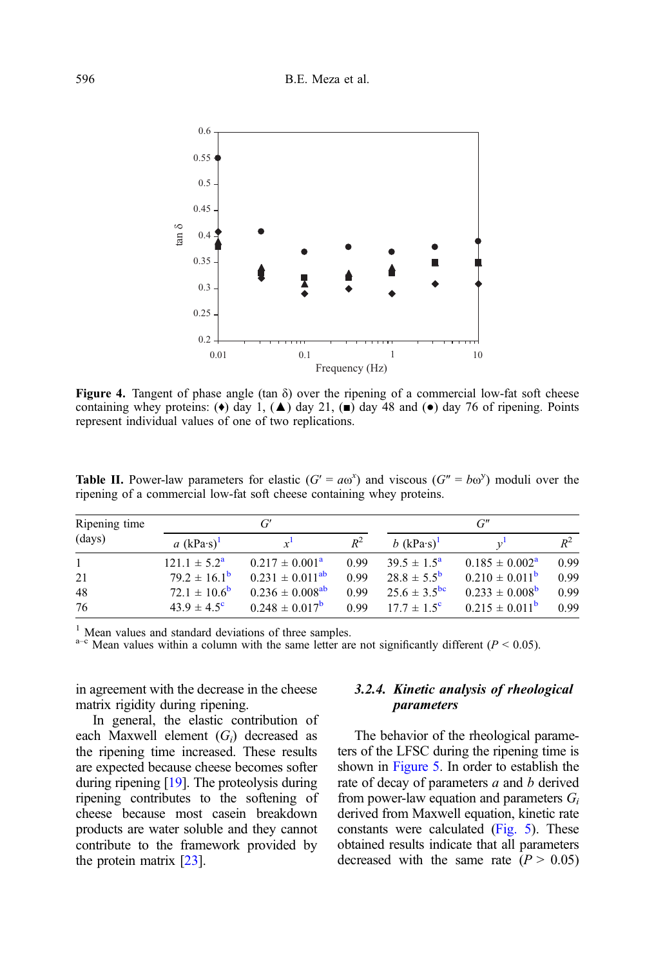<span id="page-7-0"></span>

**Figure 4.** Tangent of phase angle (tan  $\delta$ ) over the ripening of a commercial low-fat soft cheese containing whey proteins: ( $\bullet$ ) day 1, ( $\blacktriangle$ ) day 21, ( $\blacksquare$ ) day 48 and ( $\bullet$ ) day 76 of ripening. Points represent individual values of one of two replications.

| Ripening time | G'                      |                                 |       | $G^{\prime\prime}$      |                           |       |
|---------------|-------------------------|---------------------------------|-------|-------------------------|---------------------------|-------|
| (days)        | a $(kPa\cdot s)^{1}$    | $x^1$                           | $R^2$ | b $(kPa\cdot s)^{1}$    |                           | $R^2$ |
| $\mathbf{1}$  | $121.1 \pm 5.2^{\rm a}$ | $0.217 \pm 0.001^{\rm a}$       | 0.99  | $39.5 \pm 1.5^{\circ}$  | $0.185 \pm 0.002^{\rm a}$ | 0.99  |
| 21            | $79.2 \pm 16.1^{\rm b}$ | $0.231 \pm 0.011^{ab}$          | 0.99  | $28.8 \pm 5.5^{\rm b}$  | $0.210 \pm 0.011^{\rm b}$ | 0.99  |
| 48            | $72.1 \pm 10.6^{\rm b}$ | $0.236 \pm 0.008$ <sup>ab</sup> | 0.99  | $25.6 \pm 3.5^{\rm bc}$ | $0.233 \pm 0.008^{\rm b}$ | 0.99  |
| 76            | $43.9 \pm 4.5^{\circ}$  | $0.248 \pm 0.017^{\rm b}$       | 0.99  | $17.7 \pm 1.5^{\circ}$  | $0.215 \pm 0.011^{\rm b}$ | 0.99  |

**Table II.** Power-law parameters for elastic  $(G' = a\omega^x)$  and viscous  $(G'' = b\omega^y)$  moduli over the ripening of a commercial low-fat soft cheese containing whey proteins.

<sup>1</sup> Mean values and standard deviations of three samples.<br><sup>a–c</sup> Mean values within a column with the same letter are not significantly different ( $P < 0.05$ ).

in agreement with the decrease in the cheese matrix rigidity during ripening.

In general, the elastic contribution of each Maxwell element  $(G_i)$  decreased as the ripening time increased. These results are expected because cheese becomes softer during ripening [\[19](#page-10-0)]. The proteolysis during ripening contributes to the softening of cheese because most casein breakdown products are water soluble and they cannot contribute to the framework provided by the protein matrix [[23](#page-10-0)].

# 3.2.4. Kinetic analysis of rheological parameters

The behavior of the rheological parameters of the LFSC during the ripening time is shown in [Figure 5](#page-8-0). In order to establish the rate of decay of parameters  $a$  and  $b$  derived from power-law equation and parameters  $G_i$ derived from Maxwell equation, kinetic rate constants were calculated ([Fig. 5\)](#page-8-0). These obtained results indicate that all parameters decreased with the same rate  $(P > 0.05)$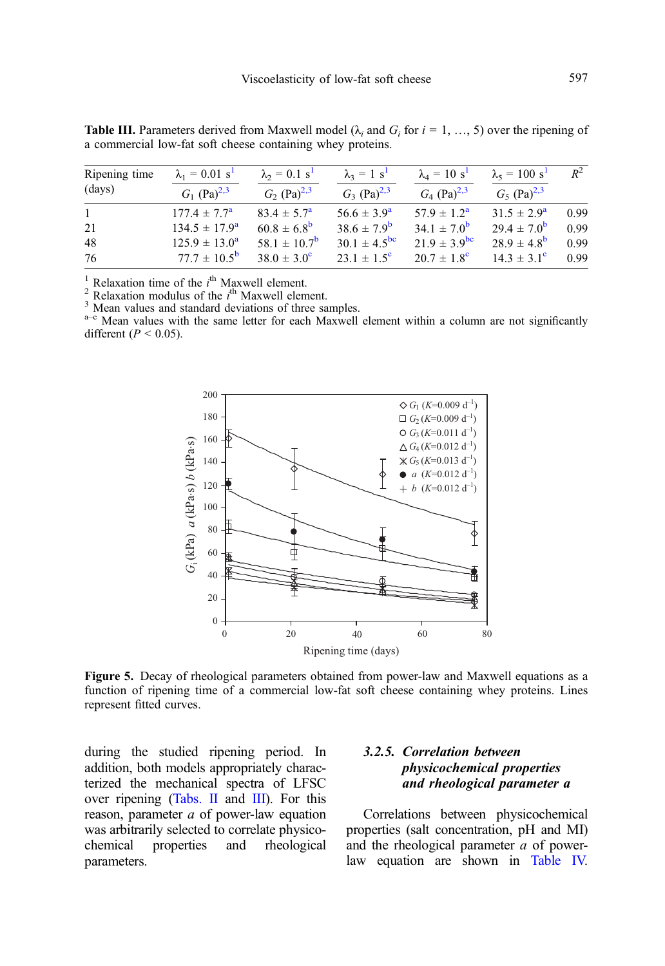| Ripening time | $\lambda_1 = 0.01$ s <sup>1</sup> | $\lambda_2 = 0.1 s^1$        | $\lambda_3 = 1$ s <sup>1</sup> | $\lambda_4 = 10 s^1$      | $\lambda_5 = 100 s^1$     | $R^2$ |
|---------------|-----------------------------------|------------------------------|--------------------------------|---------------------------|---------------------------|-------|
| (days)        | $G_1$ (Pa) <sup>2,3</sup>         | $G_2$ (Pa) <sup>2,3</sup>    | $G_3$ (Pa) <sup>2,3</sup>      | $G_4$ (Pa) <sup>2,3</sup> | $G_5$ (Pa) <sup>2,3</sup> |       |
| $\mathbf{1}$  | $177.4 \pm 7.7^{\rm a}$           | $83.4 \pm 5.7^{\circ}$       | $56.6 \pm 3.9^a$               | $57.9 \pm 1.2^{\rm a}$    | $31.5 \pm 2.9^{\circ}$    | 0.99  |
| 21            | $134.5 \pm 17.9^{\circ}$          | $60.8 \pm 6.8^{\rm b}$       | $38.6 \pm 7.9^{\rm b}$         | $34.1 \pm 7.0^{b}$        | $29.4 \pm 7.0^{b}$        | 0.99  |
| 48            | $125.9 \pm 13.0^a$                | 58.1 $\pm$ 10.7 <sup>b</sup> | $30.1 \pm 4.5^{\rm bc}$        | $21.9 \pm 3.9^{\rm bc}$   | $28.9 \pm 4.8^{\rm b}$    | 0.99  |
| 76            | $77.7 \pm 10.5^{\rm b}$           | $38.0 \pm 3.0^{\circ}$       | $23.1 \pm 1.5^{\circ}$         | $20.7 \pm 1.8^{\circ}$    | $14.3 \pm 3.1^{\circ}$    | 0.99  |

<span id="page-8-0"></span>**Table III.** Parameters derived from Maxwell model ( $\lambda$ , and  $G_i$  for  $i = 1, \dots, 5$ ) over the ripening of a commercial low-fat soft cheese containing whey proteins.

<sup>1</sup> Relaxation time of the *i*<sup>th</sup> Maxwell element.<br><sup>2</sup> Relaxation modulus of the *i*<sup>th</sup> Maxwell elem

 $\frac{3}{2}$  Mean values and standard deviations of three samples.<br> $\frac{3}{2}$  Mean values with the same letter for each Maxwell element within a column are not significantly different ( $P < 0.05$ ).



Figure 5. Decay of rheological parameters obtained from power-law and Maxwell equations as a function of ripening time of a commercial low-fat soft cheese containing whey proteins. Lines represent fitted curves.

during the studied ripening period. In addition, both models appropriately characterized the mechanical spectra of LFSC over ripening ([Tabs. II](#page-7-0) and III). For this reason, parameter a of power-law equation was arbitrarily selected to correlate physicochemical properties and rheological parameters.

# 3.2.5. Correlation between physicochemical properties and rheological parameter a

Correlations between physicochemical properties (salt concentration, pH and MI) and the rheological parameter a of powerlaw equation are shown in [Table IV.](#page-9-0)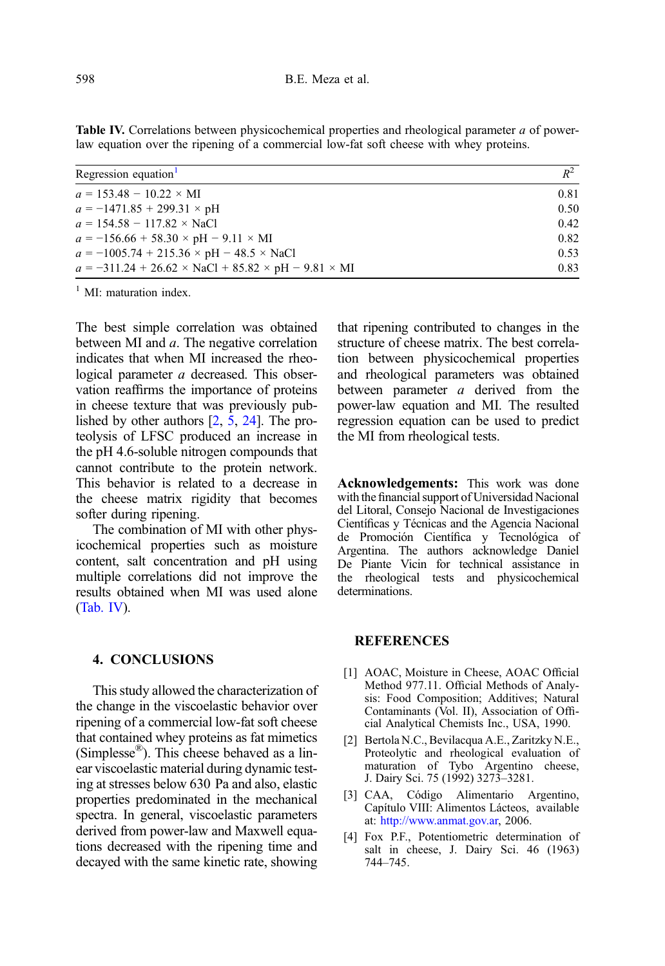<span id="page-9-0"></span>Table IV. Correlations between physicochemical properties and rheological parameter a of powerlaw equation over the ripening of a commercial low-fat soft cheese with whey proteins.

| Regression equation <sup>1</sup>                                     | $R^2$ |
|----------------------------------------------------------------------|-------|
| $a = 153.48 - 10.22 \times \text{MI}$                                | 0.81  |
| $a = -1471.85 + 299.31 \times pH$                                    | 0.50  |
| $a = 154.58 - 117.82 \times$ NaCl                                    | 0.42  |
| $a = -156.66 + 58.30 \times pH - 9.11 \times MI$                     | 0.82  |
| $a = -1005.74 + 215.36 \times pH - 48.5 \times NaCl$                 | 0.53  |
| $a = -311.24 + 26.62 \times NaCl + 85.82 \times pH - 9.81 \times MI$ | 0.83  |

 $<sup>1</sup>$  MI: maturation index.</sup>

The best simple correlation was obtained between MI and a. The negative correlation indicates that when MI increased the rheological parameter a decreased. This observation reaffirms the importance of proteins in cheese texture that was previously published by other authors [2, [5](#page-10-0), [24](#page-10-0)]. The proteolysis of LFSC produced an increase in the pH 4.6-soluble nitrogen compounds that cannot contribute to the protein network. This behavior is related to a decrease in the cheese matrix rigidity that becomes softer during ripening.

The combination of MI with other physicochemical properties such as moisture content, salt concentration and pH using multiple correlations did not improve the results obtained when MI was used alone (Tab. IV).

4. CONCLUSIONS

This study allowed the characterization of the change in the viscoelastic behavior over ripening of a commercial low-fat soft cheese that contained whey proteins as fat mimetics (Simplesse®). This cheese behaved as a linear viscoelastic material during dynamic testing at stresses below 630 Pa and also, elastic properties predominated in the mechanical spectra. In general, viscoelastic parameters derived from power-law and Maxwell equations decreased with the ripening time and decayed with the same kinetic rate, showing that ripening contributed to changes in the structure of cheese matrix. The best correlation between physicochemical properties and rheological parameters was obtained between parameter a derived from the power-law equation and MI. The resulted regression equation can be used to predict the MI from rheological tests.

Acknowledgements: This work was done with the financial support of Universidad Nacional del Litoral, Consejo Nacional de Investigaciones Científicas y Técnicas and the Agencia Nacional de Promoción Científica y Tecnológica of Argentina. The authors acknowledge Daniel De Piante Vicin for technical assistance in the rheological tests and physicochemical determinations.

# **REFERENCES**

- [1] AOAC, Moisture in Cheese, AOAC Official Method 977.11. Official Methods of Analysis: Food Composition; Additives; Natural Contaminants (Vol. II), Association of Official Analytical Chemists Inc., USA, 1990.
- [2] Bertola N.C., Bevilacqua A.E., Zaritzky N.E., Proteolytic and rheological evaluation of maturation of Tybo Argentino cheese, J. Dairy Sci. 75 (1992) 3273–3281.
- [3] CAA, Código Alimentario Argentino, Capítulo VIII: Alimentos Lácteos, available at: [http://www.anmat.gov.ar,](http://www.anmat.gov.ar) 2006.
- [4] Fox P.F., Potentiometric determination of salt in cheese, J. Dairy Sci. 46 (1963) 744–745.